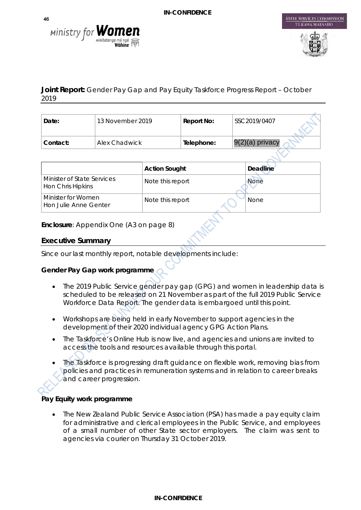



STATE SERVICES COMMISSION

## **Joint Report:** Gender Pay Gap and Pay Equity Taskforce Progress Report – October 2019

| Date:    | 13 November 2019 | Report No: | SSC2019/0407      |
|----------|------------------|------------|-------------------|
| Contact: | Alex Chadwick    | Telephone: | $9(2)(a)$ privacy |

|                                                 | <b>Action Sought</b> | <b>Deadline</b> |
|-------------------------------------------------|----------------------|-----------------|
| Minister of State Services<br>Hon Chris Hipkins | Note this report     | <b>None</b>     |
| Minister for Women<br>Hon Julie Anne Genter     | Note this report     | <b>None</b>     |

#### **Enclosure**: Appendix One (A3 on page 8)

#### **Executive Summary**

Since our last monthly report, notable developments include:

#### **Gender Pay Gap work programme**

- The 2019 Public Service gender pay gap (GPG) and women in leadership data is scheduled to be released on 21 November as part of the full 2019 Public Service Workforce Data Report. The gender data is embargoed until this point.
- Workshops are being held in early November to support agencies in the development of their 2020 individual agency GPG Action Plans.
- The Taskforce's Online Hub is now live, and agencies and unions are invited to access the tools and resources available through this portal.
- The Taskforce is progressing draft guidance on flexible work, removing bias from policies and practices in remuneration systems and in relation to career breaks and career progression.

## **Pay Equity work programme**

• The New Zealand Public Service Association (PSA) has made a pay equity claim for administrative and clerical employees in the Public Service, and employees of a small number of other State sector employers. The claim was sent to agencies via courier on Thursday 31 October 2019.

46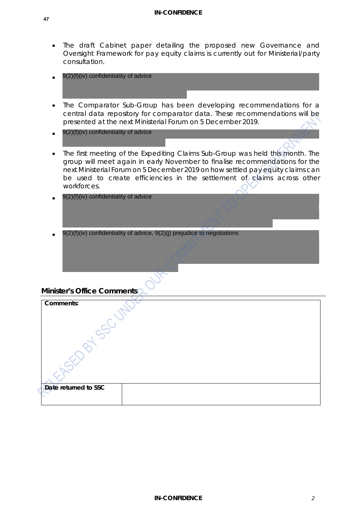#### **IN-CONFIDENCE**

- The draft Cabinet paper detailing the proposed new Governance and Oversight Framework for pay equity claims is currently out for Ministerial/party consultation.
- 9(2)(f)(iv) confidentiality of advice
- The Comparator Sub-Group has been developing recommendations for a central data repository for comparator data. These recommendations will be presented at the next Ministerial Forum on 5 December 2019.
- 9(2)(f)(iv) confidentiality of advice
- The first meeting of the Expediting Claims Sub-Group was held this month. The group will meet again in early November to finalise recommendations for the next Ministerial Forum on 5 December 2019 on how settled pay equity claims can be used to create efficiencies in the settlement of claims across other workforces.
- 9(2)(f)(iv) confidentiality of advice
- 9(2)(f)(iv) confidentiality of advice, 9(2)(j) prejudice to negotiations

#### **Minister's Office Comments**

| Comments:            |  |  |
|----------------------|--|--|
|                      |  |  |
|                      |  |  |
|                      |  |  |
|                      |  |  |
| Date returned to SSC |  |  |
|                      |  |  |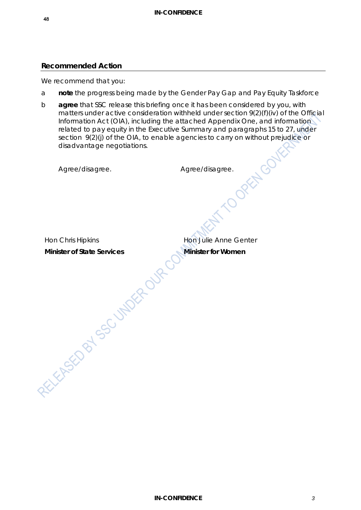### **Recommended Action**

We recommend that you:

- a **note** the progress being made by the Gender Pay Gap and Pay Equity Taskforce
- b **agree** that SSC release this briefing once it has been considered by you, with matters under active consideration withheld under section 9(2)(f)(iv) of the Official Information Act (OIA), including the attached Appendix One, and information related to pay equity in the Executive Summary and paragraphs 15 to 27, under section 9(2)(j) of the OIA, to enable agencies to carry on without prejudice or disadvantage negotiations. Agree/disagree. Agree/disagree.

Hon Chris Hipkins

**RELIGION 55CUMPTER OURCY** 

Hon Julie Anne Genter

**Minister for Women**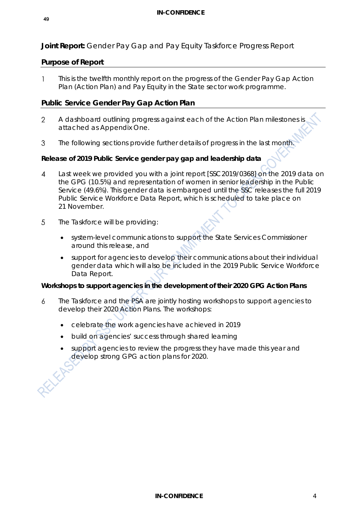## **Joint Report:** Gender Pay Gap and Pay Equity Taskforce Progress Report

#### **Purpose of Report**

This is the twelfth monthly report on the progress of the Gender Pay Gap Action  $\mathbf{1}$ Plan (Action Plan) and Pay Equity in the State sector work programme.

#### **Public Service Gender Pay Gap Action Plan**

- $\overline{2}$ A dashboard outlining progress against each of the Action Plan milestones is attached as Appendix One.
- The following sections provide further details of progress in the last month. 3

#### **Release of 2019 Public Service gender pay gap and leadership data**

- Last week we provided you with a joint report [SSC2019/0368] on the 2019 data on  $\boldsymbol{\Lambda}$ the GPG (10.5%) and representation of women in senior leadership in the Public Service (49.6%). This gender data is embargoed until the SSC releases the full 2019 Public Service Workforce Data Report, which is scheduled to take place on 21 November.
- 5 The Taskforce will be providing:
	- system-level communications to support the State Services Commissioner around this release, and
	- support for agencies to develop their communications about their individual gender data which will also be included in the 2019 Public Service Workforce Data Report.

#### **Workshops to support agencies in the development of their 2020 GPG Action Plans**

- The Taskforce and the PSA are jointly hosting workshops to support agencies to  $\overline{6}$ develop their 2020 Action Plans. The workshops:
	- celebrate the work agencies have achieved in 2019
	- build on agencies' success through shared learning
	- support agencies to review the progress they have made this year and develop strong GPG action plans for 2020.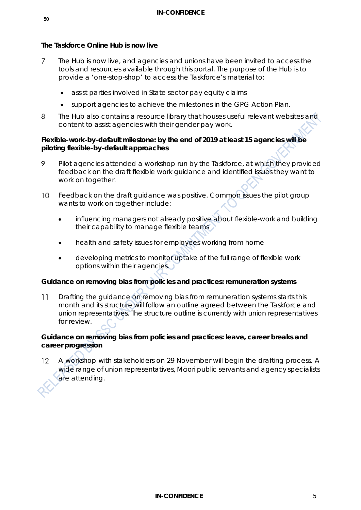#### **The Taskforce Online Hub is now live**

- $\overline{7}$ The Hub is now live, and agencies and unions have been invited to access the tools and resources available through this portal. The purpose of the Hub is to provide a 'one-stop-shop' to access the Taskforce's material to:
	- assist parties involved in State sector pay equity claims
	- support agencies to achieve the milestones in the GPG Action Plan.
- The Hub also contains a resource library that houses useful relevant websites and 8 content to assist agencies with their gender pay work.

#### **Flexible-work-by-default milestone: by the end of 2019 at least 15 agencies will be piloting flexible-by-default approaches**

- 9 Pilot agencies attended a workshop run by the Taskforce, at which they provided feedback on the draft flexible work guidance and identified issues they want to work on together.
- Feedback on the draft guidance was positive. Common issues the pilot group wants to work on together include:
	- influencing managers not already positive about flexible-work and building their capability to manage flexible teams
	- health and safety issues for employees working from home
	- developing metrics to monitor uptake of the full range of flexible work options within their agencies.

#### **Guidance on removing bias from policies and practices: remuneration systems**

Drafting the guidance on removing bias from remuneration systems starts this  $11$ month and its structure will follow an outline agreed between the Taskforce and union representatives. The structure outline is currently with union representatives for review.

#### **Guidance on removing bias from policies and practices: leave, career breaks and career progression**

12 A workshop with stakeholders on 29 November will begin the drafting process. A wide range of union representatives, Māori public servants and agency specialists are attending.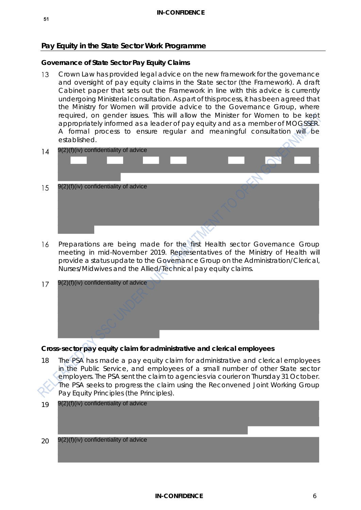### **Pay Equity in the State Sector Work Programme**

## **Governance of State Sector Pay Equity Claims**

Crown Law has provided legal advice on the new framework for the governance 13 and oversight of pay equity claims in the State sector (the Framework). A draft Cabinet paper that sets out the Framework in line with this advice is currently undergoing Ministerial consultation. As part of this process, it has been agreed that the Ministry for Women will provide advice to the Governance Group, where required, on gender issues. This will allow the Minister for Women to be kept appropriately informed as a leader of pay equity and as a member of MOGSSER. A formal process to ensure regular and meaningful consultation will be established.



Preparations are being made for the first Health sector Governance Group 16 meeting in mid-November 2019. Representatives of the Ministry of Health will provide a status update to the Governance Group on the Administration/Clerical, Nurses/Midwives and the Allied/Technical pay equity claims.



## **Cross-sector pay equity claim for administrative and clerical employees**

- 18 The PSA has made a pay equity claim for administrative and clerical employees in the Public Service, and employees of a small number of other State sector employers. The PSA sent the claim to agencies via courier on Thursday 31 October. The PSA seeks to progress the claim using the Reconvened Joint Working Group Pay Equity Principles (the Principles).
- 19 9(2)(f)(iv) confidentiality of advice

20 9(2)(f)(iv) confidentiality of advice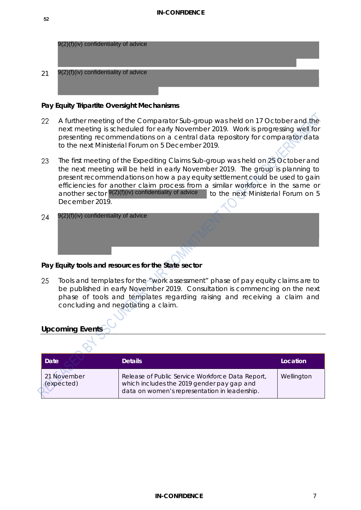|    | 9(2)(f)(iv) confidentiality of advice |
|----|---------------------------------------|
|    |                                       |
| 21 | 9(2)(f)(iv) confidentiality of advice |

#### **Pay Equity Tripartite Oversight Mechanisms**

- A further meeting of the Comparator Sub-group was held on 17 October and the 22 next meeting is scheduled for early November 2019. Work is progressing well for presenting recommendations on a central data repository for comparator data to the next Ministerial Forum on 5 December 2019.
- 23 The first meeting of the Expediting Claims Sub-group was held on 25 October and the next meeting will be held in early November 2019. The group is planning to present recommendations on how a pay equity settlement could be used to gain efficiencies for another claim process from a similar workforce in the same or another sector  $9(2)(f)(iv)$  confidentiality of advice to the next Ministerial Forum on 5 December 2019.
- 9(2)(f)(iv) confidentiality of advice $24$

### **Pay Equity tools and resources for the State sector**

25 Tools and templates for the "work assessment" phase of pay equity claims are to be published in early November 2019. Consultation is commencing on the next phase of tools and templates regarding raising and receiving a claim and concluding and negotiating a claim.

## **Upcoming Events**

| Date                      | <b>Details</b>                                                                                                                                  | Location   |
|---------------------------|-------------------------------------------------------------------------------------------------------------------------------------------------|------------|
| 21 November<br>(expected) | Release of Public Service Workforce Data Report,<br>which includes the 2019 gender pay gap and<br>data on women's representation in leadership. | Wellington |